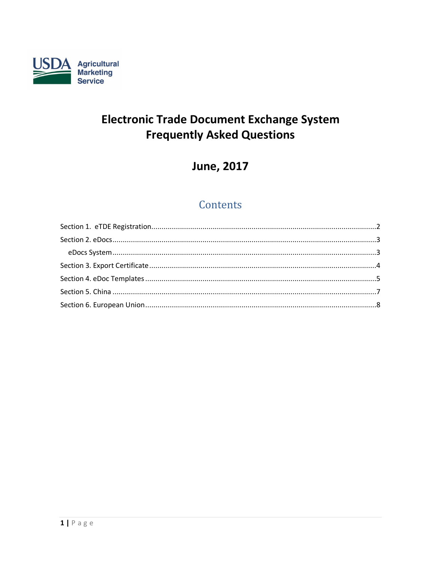

# **Electronic Trade Document Exchange System Frequently Asked Questions**

# **June, 2017**

# Contents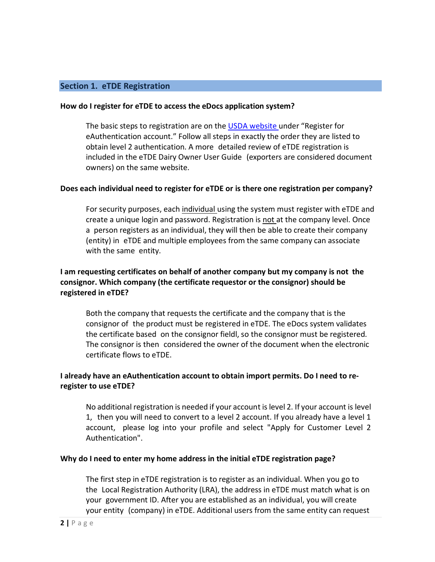# <span id="page-1-0"></span>**Section 1. eTDE Registration**

#### **How do I register for eTDE to access the eDocs application system?**

The basic steps to registration are on the USDA [website u](http://www.etde.usda.gov/etdehelpcenter_Dairy.aspx)nder "Register for eAuthentication account." Follow all steps in exactly the order they are listed to obtain level 2 authentication. A more detailed review of eTDE registration is included in the eTDE Dairy Owner User Guide (exporters are considered document owners) on the same website.

## **Does each individual need to register for eTDE or is there one registration per company?**

For security purposes, each individual using the system must register with eTDE and create a unique login and password. Registration is not at the company level. Once a person registers as an individual, they will then be able to create their company (entity) in eTDE and multiple employees from the same company can associate with the same entity.

# **I am requesting certificates on behalf of another company but my company is not the consignor. Which company (the certificate requestor or the consignor) should be registered in eTDE?**

Both the company that requests the certificate and the company that is the consignor of the product must be registered in eTDE. The eDocs system validates the certificate based on the consignor fieldl, so the consignor must be registered. The consignor is then considered the owner of the document when the electronic certificate flows to eTDE.

# **I already have an eAuthentication account to obtain import permits. Do I need to reregister to use eTDE?**

No additional registration is needed if your account is level 2. If your account is level 1, then you will need to convert to a level 2 account. If you already have a level 1 account, please log into your profile and select "Apply for Customer Level 2 Authentication".

## **Why do I need to enter my home address in the initial eTDE registration page?**

The first step in eTDE registration is to register as an individual. When you go to the Local Registration Authority (LRA), the address in eTDE must match what is on your government ID. After you are established as an individual, you will create your entity (company) in eTDE. Additional users from the same entity can request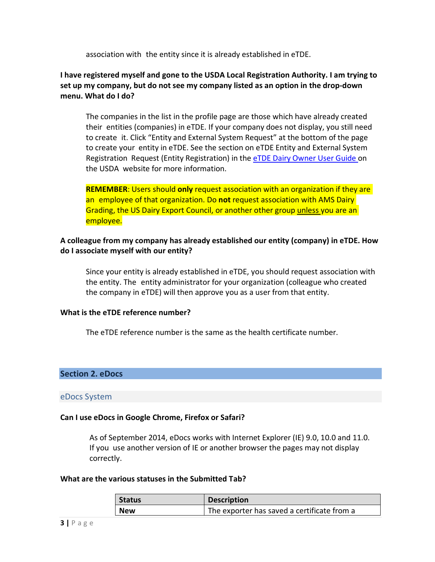association with the entity since it is already established in eTDE.

# **I have registered myself and gone to the USDA Local Registration Authority. I am trying to set up my company, but do not see my company listed as an option in the drop-down menu. What do I do?**

The companies in the list in the profile page are those which have already created their entities (companies) in eTDE. If your company does not display, you still need to create it. Click "Entity and External System Request" at the bottom of the page to create your entity in eTDE. See the section on eTDE Entity and External System Registration Request (Entity Registration) in the eTDE Dairy [Owner User](http://www.etde.usda.gov/etdehelpcenter_Dairy.aspx) Guide on the USDA website for more information.

**REMEMBER**: Users should **only** request association with an organization if they are an employee of that organization. Do **not** request association with AMS Dairy Grading, the US Dairy Export Council, or another other group unless you are an employee.

# **A colleague from my company has already established our entity (company) in eTDE. How do I associate myself with our entity?**

Since your entity is already established in eTDE, you should request association with the entity. The entity administrator for your organization (colleague who created the company in eTDE) will then approve you as a user from that entity.

## **What is the eTDE reference number?**

The eTDE reference number is the same as the health certificate number.

## <span id="page-2-0"></span>**Section 2. eDocs**

#### <span id="page-2-1"></span>eDocs System

## **Can I use eDocs in Google Chrome, Firefox or Safari?**

As of September 2014, eDocs works with Internet Explorer (IE) 9.0, 10.0 and 11.0. If you use another version of IE or another browser the pages may not display correctly.

#### **What are the various statuses in the Submitted Tab?**

| <b>Status</b> | Description                                 |
|---------------|---------------------------------------------|
| <b>New</b>    | The exporter has saved a certificate from a |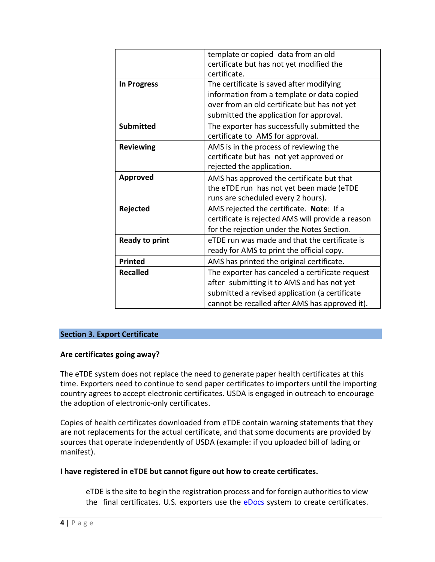|                       | template or copied data from an old               |
|-----------------------|---------------------------------------------------|
|                       | certificate but has not yet modified the          |
|                       | certificate.                                      |
| <b>In Progress</b>    | The certificate is saved after modifying          |
|                       | information from a template or data copied        |
|                       | over from an old certificate but has not yet      |
|                       | submitted the application for approval.           |
| <b>Submitted</b>      | The exporter has successfully submitted the       |
|                       | certificate to AMS for approval.                  |
| <b>Reviewing</b>      | AMS is in the process of reviewing the            |
|                       | certificate but has not yet approved or           |
|                       | rejected the application.                         |
| <b>Approved</b>       | AMS has approved the certificate but that         |
|                       | the eTDE run has not yet been made (eTDE          |
|                       | runs are scheduled every 2 hours).                |
| Rejected              | AMS rejected the certificate. Note: If a          |
|                       | certificate is rejected AMS will provide a reason |
|                       | for the rejection under the Notes Section.        |
| <b>Ready to print</b> | eTDE run was made and that the certificate is     |
|                       | ready for AMS to print the official copy.         |
| <b>Printed</b>        | AMS has printed the original certificate.         |
| <b>Recalled</b>       | The exporter has canceled a certificate request   |
|                       | after submitting it to AMS and has not yet        |
|                       | submitted a revised application (a certificate    |
|                       | cannot be recalled after AMS has approved it).    |
|                       |                                                   |

## <span id="page-3-0"></span>**Section 3. Export Certificate**

## **Are certificates going away?**

The eTDE system does not replace the need to generate paper health certificates at this time. Exporters need to continue to send paper certificates to importers until the importing country agrees to accept electronic certificates. USDA is engaged in outreach to encourage the adoption of electronic-only certificates.

Copies of health certificates downloaded from eTDE contain warning statements that they are not replacements for the actual certificate, and that some documents are provided by sources that operate independently of USDA (example: if you uploaded bill of lading or manifest).

## **I have registered in eTDE but cannot figure out how to create certificates.**

eTDE is the site to begin the registration process and for foreign authorities to view the final certificates. U.S. exporters use the [eDocs](http://www.etde.usda.gov/eDocs) system to create certificates.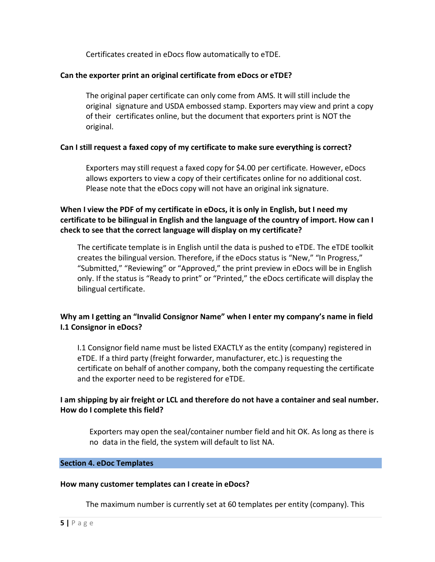Certificates created in eDocs flow automatically to eTDE.

# **Can the exporter print an original certificate from eDocs or eTDE?**

The original paper certificate can only come from AMS. It will still include the original signature and USDA embossed stamp. Exporters may view and print a copy of their certificates online, but the document that exporters print is NOT the original.

# **Can I still request a faxed copy of my certificate to make sure everything is correct?**

Exporters may still request a faxed copy for \$4.00 per certificate. However, eDocs allows exporters to view a copy of their certificates online for no additional cost. Please note that the eDocs copy will not have an original ink signature.

# **When I view the PDF of my certificate in eDocs, it is only in English, but I need my certificate to be bilingual in English and the language of the country of import. How can I check to see that the correct language will display on my certificate?**

The certificate template is in English until the data is pushed to eTDE. The eTDE toolkit creates the bilingual version. Therefore, if the eDocs status is "New," "In Progress," "Submitted," "Reviewing" or "Approved," the print preview in eDocs will be in English only. If the status is "Ready to print" or "Printed," the eDocs certificate will display the bilingual certificate.

# **Why am I getting an "Invalid Consignor Name" when I enter my company's name in field I.1 Consignor in eDocs?**

I.1 Consignor field name must be listed EXACTLY as the entity (company) registered in eTDE. If a third party (freight forwarder, manufacturer, etc.) is requesting the certificate on behalf of another company, both the company requesting the certificate and the exporter need to be registered for eTDE.

# **I am shipping by air freight or LCL and therefore do not have a container and seal number. How do I complete this field?**

Exporters may open the seal/container number field and hit OK. As long as there is no data in the field, the system will default to list NA.

#### <span id="page-4-0"></span>**Section 4. eDoc Templates**

## **How many customer templates can I create in eDocs?**

The maximum number is currently set at 60 templates per entity (company). This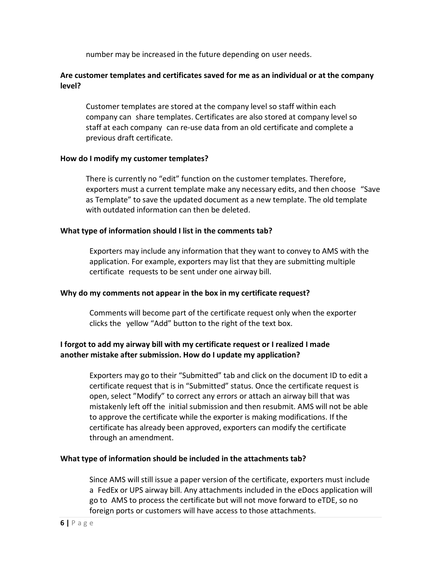number may be increased in the future depending on user needs.

# **Are customer templates and certificates saved for me as an individual or at the company level?**

Customer templates are stored at the company level so staff within each company can share templates. Certificates are also stored at company level so staff at each company can re-use data from an old certificate and complete a previous draft certificate.

#### **How do I modify my customer templates?**

There is currently no "edit" function on the customer templates. Therefore, exporters must a current template make any necessary edits, and then choose "Save as Template" to save the updated document as a new template. The old template with outdated information can then be deleted.

## **What type of information should I list in the comments tab?**

Exporters may include any information that they want to convey to AMS with the application. For example, exporters may list that they are submitting multiple certificate requests to be sent under one airway bill.

## **Why do my comments not appear in the box in my certificate request?**

Comments will become part of the certificate request only when the exporter clicks the yellow "Add" button to the right of the text box.

# **I forgot to add my airway bill with my certificate request or I realized I made another mistake after submission. How do I update my application?**

Exporters may go to their "Submitted" tab and click on the document ID to edit a certificate request that is in "Submitted" status. Once the certificate request is open, select "Modify" to correct any errors or attach an airway bill that was mistakenly left off the initial submission and then resubmit. AMS will not be able to approve the certificate while the exporter is making modifications. If the certificate has already been approved, exporters can modify the certificate through an amendment.

## **What type of information should be included in the attachments tab?**

Since AMS will still issue a paper version of the certificate, exporters must include a FedEx or UPS airway bill. Any attachments included in the eDocs application will go to AMS to process the certificate but will not move forward to eTDE, so no foreign ports or customers will have access to those attachments.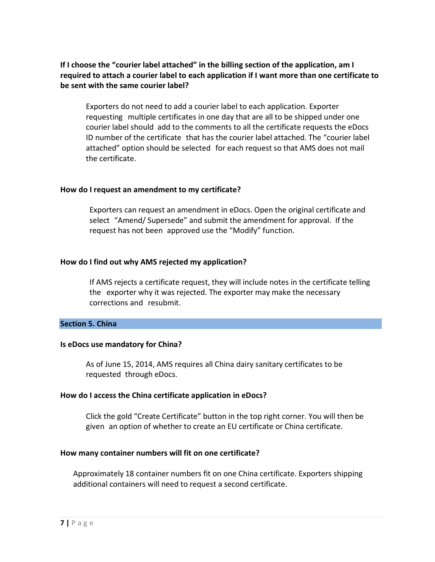# **If I choose the "courier label attached" in the billing section of the application, am I required to attach a courier label to each application if I want more than one certificate to be sent with the same courier label?**

Exporters do not need to add a courier label to each application. Exporter requesting multiple certificates in one day that are all to be shipped under one courier label should add to the comments to all the certificate requests the eDocs ID number of the certificate that has the courier label attached. The "courier label attached" option should be selected for each request so that AMS does not mail the certificate.

## **How do I request an amendment to my certificate?**

Exporters can request an amendment in eDocs. Open the original certificate and select "Amend/ Supersede" and submit the amendment for approval. If the request has not been approved use the "Modify" function.

#### **How do I find out why AMS rejected my application?**

If AMS rejects a certificate request, they will include notes in the certificate telling the exporter why it was rejected. The exporter may make the necessary corrections and resubmit.

#### <span id="page-6-0"></span>**Section 5. China**

#### **Is eDocs use mandatory for China?**

As of June 15, 2014, AMS requires all China dairy sanitary certificates to be requested through eDocs.

## **How do I access the China certificate application in eDocs?**

Click the gold "Create Certificate" button in the top right corner. You will then be given an option of whether to create an EU certificate or China certificate.

## **How many container numbers will fit on one certificate?**

Approximately 18 container numbers fit on one China certificate. Exporters shipping additional containers will need to request a second certificate.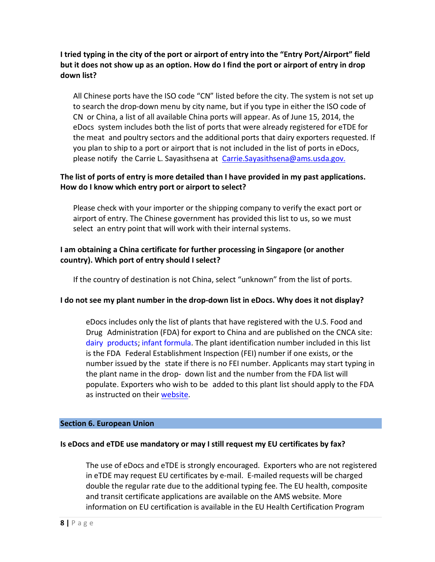# **I tried typing in the city of the port or airport of entry into the "Entry Port/Airport" field but it does not show up as an option. How do I find the port or airport of entry in drop down list?**

All Chinese ports have the ISO code "CN" listed before the city. The system is not set up to search the drop-down menu by city name, but if you type in either the ISO code of CN or China, a list of all available China ports will appear. As of June 15, 2014, the eDocs system includes both the list of ports that were already registered for eTDE for the meat and poultry sectors and the additional ports that dairy exporters requested. If you plan to ship to a port or airport that is not included in the list of ports in eDocs, please notify the Carrie L. Sayasithsena at [Carrie.Sayasithsena@ams.usda.gov.](mailto:diane.lewis@ams.usda.gov)

# **The list of ports of entry is more detailed than I have provided in my past applications. How do I know which entry port or airport to select?**

Please check with your importer or the shipping company to verify the exact port or airport of entry. The Chinese government has provided this list to us, so we must select an entry point that will work with their internal systems.

# **I am obtaining a China certificate for further processing in Singapore (or another country). Which port of entry should I select?**

If the country of destination is not China, select "unknown" from the list of ports.

# **I do not see my plant number in the drop-down list in eDocs. Why does it not display?**

eDocs includes only the list of plants that have registered with the U.S. Food and Drug Administration (FDA) for export to China and are published on the CNCA site: dairy products; infant [formula.](http://www.cnca.gov.cn/ywzl/gjgnhz/jkzl/imports-list/milk/America20150928.pdf) The plant identification number included in this list is the FDA Federal Establishment Inspection (FEI) number if one exists, or the number issued by the state if there is no FEI number. Applicants may start typing in the plant name in the drop- down list and the number from the FDA list will populate. Exporters who wish to be added to this plant list should apply to the FDA as instructed on their [website.](http://www.fda.gov/food/guidanceregulation/guidancedocumentsregulatoryinformation/importsexports/ucm378777.htm)

## <span id="page-7-0"></span>**Section 6. European Union**

## **Is eDocs and eTDE use mandatory or may I still request my EU certificates by fax?**

The use of eDocs and eTDE is strongly encouraged. Exporters who are not registered in eTDE may request EU certificates by e-mail. E-mailed requests will be charged double the regular rate due to the additional typing fee. The EU health, composite and transit certificate applications are available on the AMS website. More information on EU certification is available in the EU Health Certification Program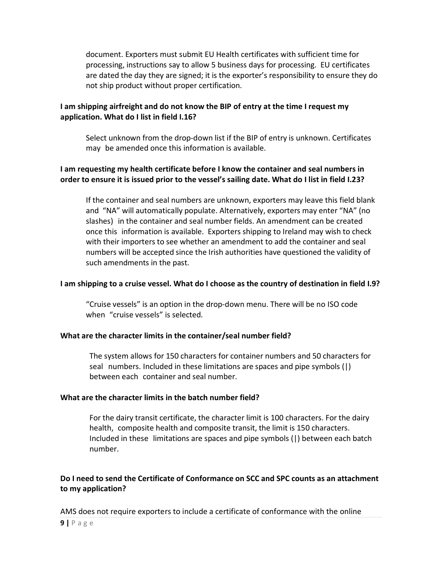document. Exporters must submit EU Health certificates with sufficient time for processing, instructions say to allow 5 business days for processing. EU certificates are dated the day they are signed; it is the exporter's responsibility to ensure they do not ship product without proper certification.

# **I am shipping airfreight and do not know the BIP of entry at the time I request my application. What do I list in field I.16?**

Select unknown from the drop-down list if the BIP of entry is unknown. Certificates may be amended once this information is available.

# **I am requesting my health certificate before I know the container and seal numbers in order to ensure it is issued prior to the vessel's sailing date. What do I list in field I.23?**

If the container and seal numbers are unknown, exporters may leave this field blank and "NA" will automatically populate. Alternatively, exporters may enter "NA" (no slashes) in the container and seal number fields. An amendment can be created once this information is available. Exporters shipping to Ireland may wish to check with their importers to see whether an amendment to add the container and seal numbers will be accepted since the Irish authorities have questioned the validity of such amendments in the past.

## **I am shipping to a cruise vessel. What do I choose as the country of destination in field I.9?**

"Cruise vessels" is an option in the drop-down menu. There will be no ISO code when "cruise vessels" is selected.

# **What are the character limits in the container/seal number field?**

The system allows for 150 characters for container numbers and 50 characters for seal numbers. Included in these limitations are spaces and pipe symbols (|) between each container and seal number.

## **What are the character limits in the batch number field?**

For the dairy transit certificate, the character limit is 100 characters. For the dairy health, composite health and composite transit, the limit is 150 characters. Included in these limitations are spaces and pipe symbols (|) between each batch number.

# **Do I need to send the Certificate of Conformance on SCC and SPC counts as an attachment to my application?**

AMS does not require exporters to include a certificate of conformance with the online